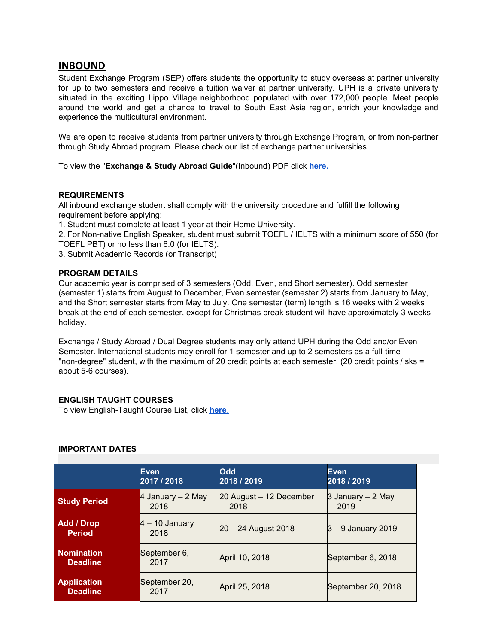# **INBOUND**

Student Exchange Program (SEP) offers students the opportunity to study overseas at partner university for up to two semesters and receive a tuition waiver at partner university. UPH is a private university situated in the exciting Lippo Village neighborhood populated with over 172,000 people. Meet people around the world and get a chance to travel to South East Asia region, enrich your knowledge and experience the multicultural environment.

We are open to receive students from partner university through Exchange Program, or from non-partner through Study Abroad program. Please check our list of exchange partner universities.

To view the "**Exchange & Study Abroad Guide**"(Inbound) PDF click **[here.](https://www.uph.edu/wp-content/uploads/2019/05/Exchange-Study-Abroad-Guide.pdf)**

## **[REQUIREMENTS](http://international.uph.edu/incoming-student-exchange-program/student-exchange-program.html)**

All inbound exchange student shall comply with the university procedure and fulfill the following requirement before applying:

1. Student must complete at least 1 year at their Home University.

2. For Non-native English Speaker, student must submit TOEFL / IELTS with a minimum score of 550 (for TOEFL PBT) or no less than 6.0 (for IELTS).

3. Submit Academic Records (or Transcript)

## **[PROGRAM](http://international.uph.edu/incoming-student-exchange-program/student-exchange-program.html) DETAILS**

Our academic year is comprised of 3 semesters (Odd, Even, and Short semester). Odd semester (semester 1) starts from August to December, Even semester (semester 2) starts from January to May, and the Short semester starts from May to July. One semester (term) length is 16 weeks with 2 weeks break at the end of each semester, except for Christmas break student will have approximately 3 weeks holiday.

Exchange / Study Abroad / Dual Degree students may only attend UPH during the Odd and/or Even Semester. International students may enroll for 1 semester and up to 2 semesters as a full-time "non-degree" student, with the maximum of 20 credit points at each semester. (20 credit points / sks = about 5-6 courses).

## **ENGLISH TAUGHT COURSES**

To view English-Taught Course List, click **[here](https://www.uph.edu/study-at-uph/#english-taught-courses)**[.](https://www.uph.edu/study-at-uph/#english-taught-courses)

#### **[IMPORTANT](http://international.uph.edu/incoming-student-exchange-program/student-exchange-program.html) DATES**

|                                       | Even<br>2017 / 2018       | <b>Odd</b><br>2018 / 2019       | <b>Even</b><br>2018 / 2019 |
|---------------------------------------|---------------------------|---------------------------------|----------------------------|
| <b>Study Period</b>                   | 4 January – 2 May<br>2018 | 20 August - 12 December<br>2018 | 3 January – 2 May<br>2019  |
| <b>Add / Drop</b><br><b>Period</b>    | $4 - 10$ January<br>2018  | 20 - 24 August 2018             | $ 3 - 9$ January 2019      |
| <b>Nomination</b><br><b>Deadline</b>  | September 6,<br>2017      | April 10, 2018                  | September 6, 2018          |
| <b>Application</b><br><b>Deadline</b> | September 20,<br>2017     | April 25, 2018                  | September 20, 2018         |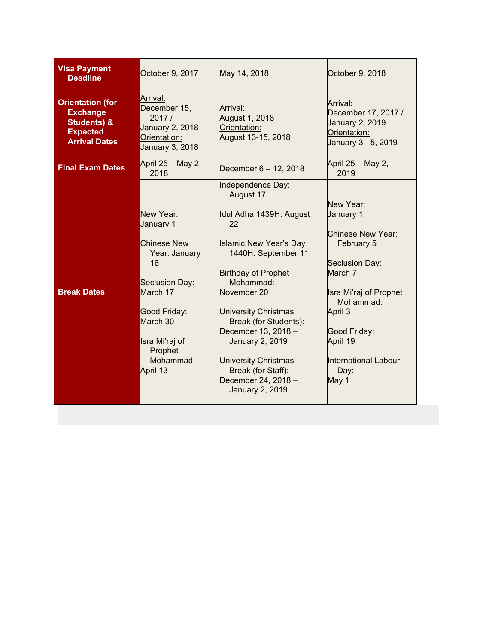| <b>Visa Payment</b><br><b>Deadline</b>                                                                          | October 9, 2017                                                                         | May 14, 2018                                                             | October 9, 2018                                                                           |
|-----------------------------------------------------------------------------------------------------------------|-----------------------------------------------------------------------------------------|--------------------------------------------------------------------------|-------------------------------------------------------------------------------------------|
| <b>Orientation (for</b><br><b>Exchange</b><br><b>Students) &amp;</b><br><b>Expected</b><br><b>Arrival Dates</b> | Arrival:<br>December 15,<br>2017/<br>January 2, 2018<br>Orientation:<br>January 3, 2018 | Arrival:<br>August 1, 2018<br>Orientation:<br>August 13-15, 2018         | Arrival:<br>December 17, 2017 /<br>January 2, 2019<br>Orientation:<br>January 3 - 5, 2019 |
| <b>Final Exam Dates</b>                                                                                         | April 25 – May 2,<br>2018                                                               | December 6 - 12, 2018                                                    | April 25 - May 2,<br>2019                                                                 |
|                                                                                                                 |                                                                                         | Independence Day:<br>August 17                                           | New Year:                                                                                 |
|                                                                                                                 | New Year:<br>January 1                                                                  | Idul Adha 1439H: August<br>22                                            | January 1                                                                                 |
|                                                                                                                 | <b>Chinese New</b><br>Year: January                                                     | <b>Islamic New Year's Day</b><br>1440H: September 11                     | Chinese New Year:<br>February 5                                                           |
|                                                                                                                 | 16<br>Seclusion Day:                                                                    | <b>Birthday of Prophet</b><br>Mohammad:                                  | Seclusion Day:<br>March 7                                                                 |
| <b>Break Dates</b>                                                                                              | March 17                                                                                | November 20                                                              | Isra Mi'raj of Prophet<br>Mohammad:                                                       |
|                                                                                                                 | Good Friday:<br>March 30                                                                | <b>University Christmas</b><br>Break (for Students):                     | April 3                                                                                   |
|                                                                                                                 | Isra Mi'raj of<br>Prophet                                                               | December 13, 2018 -<br><b>January 2, 2019</b>                            | Good Friday:<br>April 19                                                                  |
|                                                                                                                 | Mohammad:<br>April 13                                                                   | <b>University Christmas</b><br>Break (for Staff):<br>December 24, 2018 - | International Labour<br>Day:                                                              |
|                                                                                                                 |                                                                                         | <b>January 2, 2019</b>                                                   | May 1                                                                                     |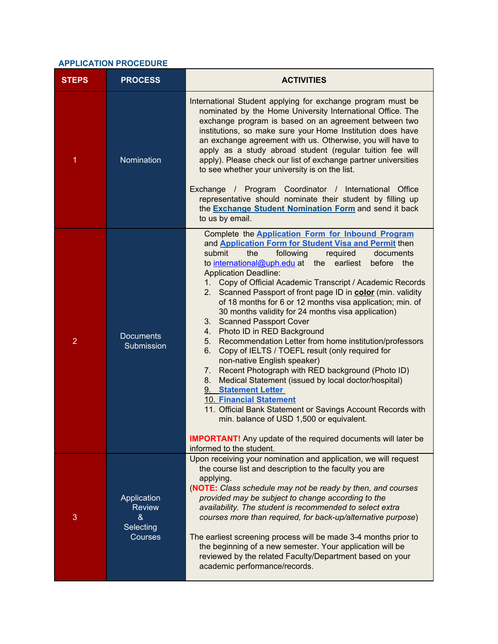# **[APPLICATION](http://international.uph.edu/incoming-student-exchange-program/student-exchange-program.html) PROCEDURE**

| <b>STEPS</b>   | <b>PROCESS</b>                                            | <b>ACTIVITIES</b>                                                                                                                                                                                                                                                                                                                                                                                                                                                                                                                                                                                                                                                                                                                                                                                                                                                                                                                                                                                                                                                                                                                                        |  |
|----------------|-----------------------------------------------------------|----------------------------------------------------------------------------------------------------------------------------------------------------------------------------------------------------------------------------------------------------------------------------------------------------------------------------------------------------------------------------------------------------------------------------------------------------------------------------------------------------------------------------------------------------------------------------------------------------------------------------------------------------------------------------------------------------------------------------------------------------------------------------------------------------------------------------------------------------------------------------------------------------------------------------------------------------------------------------------------------------------------------------------------------------------------------------------------------------------------------------------------------------------|--|
| 1              | Nomination                                                | International Student applying for exchange program must be<br>nominated by the Home University International Office. The<br>exchange program is based on an agreement between two<br>institutions, so make sure your Home Institution does have<br>an exchange agreement with us. Otherwise, you will have to<br>apply as a study abroad student (regular tuition fee will<br>apply). Please check our list of exchange partner universities<br>to see whether your university is on the list.<br>Exchange / Program Coordinator / International Office<br>representative should nominate their student by filling up<br>the <b>Exchange Student Nomination Form</b> and send it back<br>to us by email.                                                                                                                                                                                                                                                                                                                                                                                                                                                |  |
| $\overline{2}$ | <b>Documents</b><br>Submission                            | Complete the <b>Application Form for Inbound Program</b><br>and <b>Application Form for Student Visa and Permit then</b><br>following<br>submit<br>the<br>required<br>documents<br>to international@uph.edu at the<br>earliest<br>before the<br><b>Application Deadline:</b><br>Copy of Official Academic Transcript / Academic Records<br>1.<br>2. Scanned Passport of front page ID in color (min. validity<br>of 18 months for 6 or 12 months visa application; min. of<br>30 months validity for 24 months visa application)<br>3. Scanned Passport Cover<br>Photo ID in RED Background<br>4.<br>Recommendation Letter from home institution/professors<br>5.<br>Copy of IELTS / TOEFL result (only required for<br>6.<br>non-native English speaker)<br>Recent Photograph with RED background (Photo ID)<br>7.<br>Medical Statement (issued by local doctor/hospital)<br>8.<br>9. Statement Letter<br><b>10. Financial Statement</b><br>11. Official Bank Statement or Savings Account Records with<br>min. balance of USD 1,500 or equivalent.<br><b>IMPORTANT!</b> Any update of the required documents will later be<br>informed to the student. |  |
| 3              | Application<br><b>Review</b><br>&<br>Selecting<br>Courses | Upon receiving your nomination and application, we will request<br>the course list and description to the faculty you are<br>applying.<br>(NOTE: Class schedule may not be ready by then, and courses<br>provided may be subject to change according to the<br>availability. The student is recommended to select extra<br>courses more than required, for back-up/alternative purpose)<br>The earliest screening process will be made 3-4 months prior to<br>the beginning of a new semester. Your application will be<br>reviewed by the related Faculty/Department based on your<br>academic performance/records.                                                                                                                                                                                                                                                                                                                                                                                                                                                                                                                                     |  |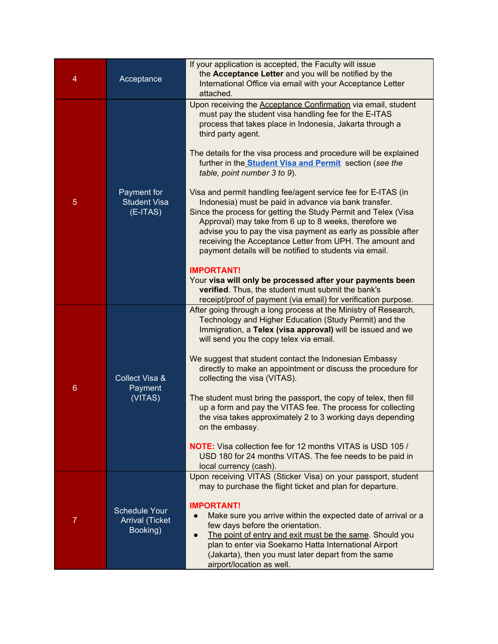| 4              | Acceptance                                          | If your application is accepted, the Faculty will issue<br>the Acceptance Letter and you will be notified by the<br>International Office via email with your Acceptance Letter<br>attached.                                                                                                                                                                                                                                               |
|----------------|-----------------------------------------------------|-------------------------------------------------------------------------------------------------------------------------------------------------------------------------------------------------------------------------------------------------------------------------------------------------------------------------------------------------------------------------------------------------------------------------------------------|
| 5              | Payment for<br><b>Student Visa</b><br>$(E-ITAS)$    | Upon receiving the <b>Acceptance Confirmation</b> via email, student<br>must pay the student visa handling fee for the E-ITAS<br>process that takes place in Indonesia, Jakarta through a<br>third party agent.                                                                                                                                                                                                                           |
|                |                                                     | The details for the visa process and procedure will be explained<br>further in the <b>Student Visa and Permit</b> section (see the<br>table, point number 3 to 9).                                                                                                                                                                                                                                                                        |
|                |                                                     | Visa and permit handling fee/agent service fee for E-ITAS (in<br>Indonesia) must be paid in advance via bank transfer.<br>Since the process for getting the Study Permit and Telex (Visa<br>Approval) may take from 6 up to 8 weeks, therefore we<br>advise you to pay the visa payment as early as possible after<br>receiving the Acceptance Letter from UPH. The amount and<br>payment details will be notified to students via email. |
|                |                                                     | <b>IMPORTANT!</b><br>Your visa will only be processed after your payments been<br>verified. Thus, the student must submit the bank's<br>receipt/proof of payment (via email) for verification purpose.                                                                                                                                                                                                                                    |
| 6              | Collect Visa &<br>Payment<br>(VITAS)                | After going through a long process at the Ministry of Research,<br>Technology and Higher Education (Study Permit) and the<br>Immigration, a Telex (visa approval) will be issued and we<br>will send you the copy telex via email.                                                                                                                                                                                                        |
|                |                                                     | We suggest that student contact the Indonesian Embassy<br>directly to make an appointment or discuss the procedure for<br>collecting the visa (VITAS).                                                                                                                                                                                                                                                                                    |
|                |                                                     | The student must bring the passport, the copy of telex, then fill<br>up a form and pay the VITAS fee. The process for collecting<br>the visa takes approximately 2 to 3 working days depending<br>on the embassy.                                                                                                                                                                                                                         |
|                |                                                     | <b>NOTE:</b> Visa collection fee for 12 months VITAS is USD 105 /<br>USD 180 for 24 months VITAS. The fee needs to be paid in<br>local currency (cash).                                                                                                                                                                                                                                                                                   |
| $\overline{7}$ | Schedule Your<br><b>Arrival (Ticket</b><br>Booking) | Upon receiving VITAS (Sticker Visa) on your passport, student<br>may to purchase the flight ticket and plan for departure.                                                                                                                                                                                                                                                                                                                |
|                |                                                     | <b>IMPORTANT!</b><br>Make sure you arrive within the expected date of arrival or a<br>few days before the orientation.<br>The point of entry and exit must be the same. Should you<br>plan to enter via Soekarno Hatta International Airport<br>(Jakarta), then you must later depart from the same<br>airport/location as well.                                                                                                          |